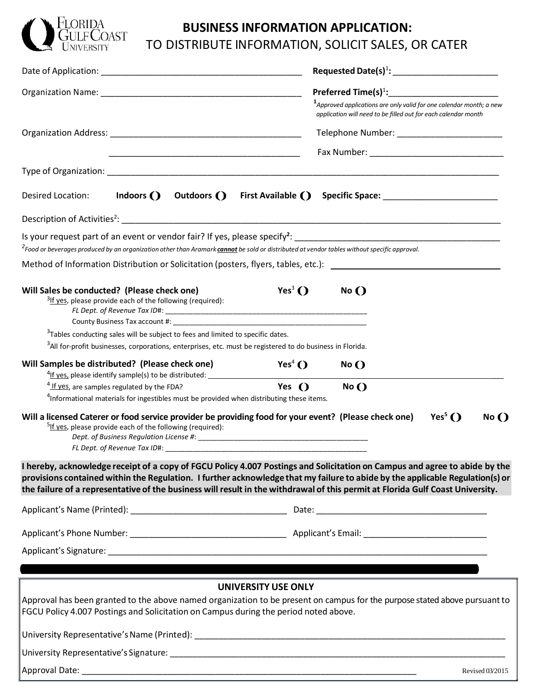

# **BUSINESS INFORMATION APPLICATION:** TO DISTRIBUTE INFORMATION, SOLICIT SALES, OR CATER

|                                                                                                                                                                                                                      | Preferred Time(s) <sup>1</sup> :____________________________                                                                                                                                                                                                                                                                                                                                  |
|----------------------------------------------------------------------------------------------------------------------------------------------------------------------------------------------------------------------|-----------------------------------------------------------------------------------------------------------------------------------------------------------------------------------------------------------------------------------------------------------------------------------------------------------------------------------------------------------------------------------------------|
|                                                                                                                                                                                                                      | $1$ Approved applications are only valid for one calendar month; a new<br>application will need to be filled out for each calendar month                                                                                                                                                                                                                                                      |
|                                                                                                                                                                                                                      | Telephone Number: __________________________                                                                                                                                                                                                                                                                                                                                                  |
| <u> 1989 - Johann John Stone, mars et al. 1989 - John Stone, mars et al. 1989 - John Stone, mars et al. 1989 - Joh</u>                                                                                               |                                                                                                                                                                                                                                                                                                                                                                                               |
|                                                                                                                                                                                                                      |                                                                                                                                                                                                                                                                                                                                                                                               |
| Indoors $()$<br>Outdoors ()<br>Desired Location:                                                                                                                                                                     | First Available ()<br>Specific Space: _________________________                                                                                                                                                                                                                                                                                                                               |
|                                                                                                                                                                                                                      |                                                                                                                                                                                                                                                                                                                                                                                               |
| <sup>2</sup> Food or beverages produced by an organization other than Aramark cannot be sold or distributed at vendor tables without specific approval.                                                              | Is your request part of an event or vendor fair? If yes, please specify <sup>2</sup> : $\Box$                                                                                                                                                                                                                                                                                                 |
|                                                                                                                                                                                                                      | Method of Information Distribution or Solicitation (posters, flyers, tables, etc.): __________________________                                                                                                                                                                                                                                                                                |
| Will Sales be conducted? (Please check one)<br>$3$ If yes, please provide each of the following (required):                                                                                                          | Yes <sup>3</sup> $\bigcirc$<br>$No$ $()$                                                                                                                                                                                                                                                                                                                                                      |
| <sup>3</sup> Tables conducting sales will be subject to fees and limited to specific dates.<br><sup>3</sup> All for-profit businesses, corporations, enterprises, etc. must be registered to do business in Florida. |                                                                                                                                                                                                                                                                                                                                                                                               |
| Will Samples be distributed? (Please check one)                                                                                                                                                                      | Yes <sup>4</sup> $\bigcirc$<br>No()                                                                                                                                                                                                                                                                                                                                                           |
| <sup>4</sup> If yes, are samples regulated by the FDA?<br><sup>4</sup> Informational materials for ingestibles must be provided when distributing these items.                                                       | Yes $\bigcap$<br>$No$ $()$                                                                                                                                                                                                                                                                                                                                                                    |
| Will a licensed Caterer or food service provider be providing food for your event? (Please check one)<br><sup>5</sup> If yes, please provide each of the following (required):<br>FL Dept. of Revenue Tax ID#:       | Yes <sup>5</sup> $()$<br>$No$ $()$                                                                                                                                                                                                                                                                                                                                                            |
|                                                                                                                                                                                                                      | I hereby, acknowledge receipt of a copy of FGCU Policy 4.007 Postings and Solicitation on Campus and agree to abide by the<br>provisions contained within the Regulation. I further acknowledge that my failure to abide by the applicable Regulation(s) or<br>the failure of a representative of the business will result in the withdrawal of this permit at Florida Gulf Coast University. |
|                                                                                                                                                                                                                      |                                                                                                                                                                                                                                                                                                                                                                                               |
|                                                                                                                                                                                                                      |                                                                                                                                                                                                                                                                                                                                                                                               |
|                                                                                                                                                                                                                      |                                                                                                                                                                                                                                                                                                                                                                                               |
|                                                                                                                                                                                                                      |                                                                                                                                                                                                                                                                                                                                                                                               |
| FGCU Policy 4.007 Postings and Solicitation on Campus during the period noted above.                                                                                                                                 | <b>UNIVERSITY USE ONLY</b><br>Approval has been granted to the above named organization to be present on campus for the purpose stated above pursuant to                                                                                                                                                                                                                                      |
|                                                                                                                                                                                                                      |                                                                                                                                                                                                                                                                                                                                                                                               |
|                                                                                                                                                                                                                      |                                                                                                                                                                                                                                                                                                                                                                                               |
|                                                                                                                                                                                                                      | Revised 03/2015                                                                                                                                                                                                                                                                                                                                                                               |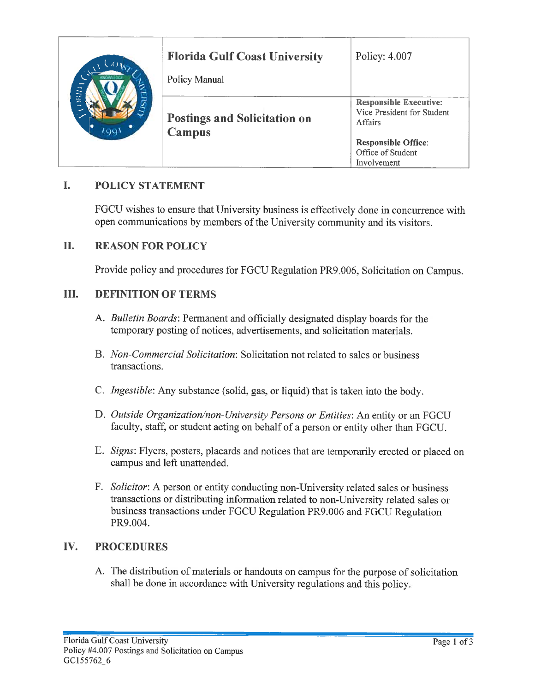|              | <b>Florida Gulf Coast University</b><br>Policy Manual | Policy: 4.007                                                                                                                            |
|--------------|-------------------------------------------------------|------------------------------------------------------------------------------------------------------------------------------------------|
| RAID<br>1991 | <b>Postings and Solicitation on</b><br>Campus         | <b>Responsible Executive:</b><br>Vice President for Student<br>Affairs<br><b>Responsible Office:</b><br>Office of Student<br>Involvement |

## L. **POLICY STATEMENT**

FGCU wishes to ensure that University business is effectively done in concurrence with open communications by members of the University community and its visitors.

#### II. **REASON FOR POLICY**

Provide policy and procedures for FGCU Regulation PR9.006, Solicitation on Campus.

#### III. **DEFINITION OF TERMS**

- A. Bulletin Boards: Permanent and officially designated display boards for the temporary posting of notices, advertisements, and solicitation materials.
- B. Non-Commercial Solicitation: Solicitation not related to sales or business transactions.
- C. *Ingestible*: Any substance (solid, gas, or liquid) that is taken into the body.
- D. Outside Organization/non-University Persons or Entities: An entity or an FGCU faculty, staff, or student acting on behalf of a person or entity other than FGCU.
- E. Signs: Flyers, posters, placards and notices that are temporarily erected or placed on campus and left unattended.
- F. Solicitor: A person or entity conducting non-University related sales or business transactions or distributing information related to non-University related sales or business transactions under FGCU Regulation PR9.006 and FGCU Regulation PR9.004.

### IV. **PROCEDURES**

A. The distribution of materials or handouts on campus for the purpose of solicitation shall be done in accordance with University regulations and this policy.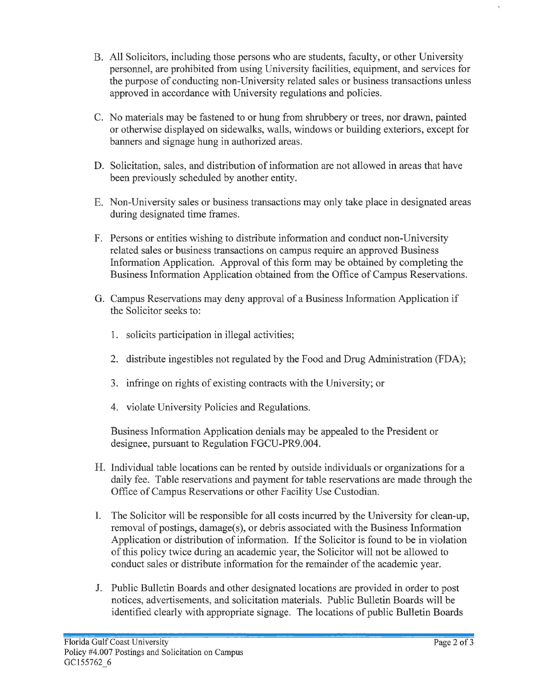- B. All Solicitors, including those persons who are students, faculty, or other University personnel, are prohibited from using University facilities, equipment, and services for the purpose of conducting non-University related sales or business transactions unless approved in accordance with University regulations and policies.
- C. No materials may be fastened to or hung from shrubbery or trees, nor drawn, painted or otherwise displayed on sidewalks, walls, windows or building exteriors, except for banners and signage hung in authorized areas.
- D. Solicitation, sales, and distribution of information are not allowed in areas that have been previously scheduled by another entity.
- E. Non-University sales or business transactions may only take place in designated areas during designated time frames.
- F. Persons or entities wishing to distribute information and conduct non-University related sales or business transactions on campus require an approved Business Information Application. Approval of this form may be obtained by completing the Business Information Application obtained from the Office of Campus Reservations.
- G. Campus Reservations may deny approval of a Business Information Application if the Solicitor seeks to:
	- 1. solicits participation in illegal activities;
	- 2. distribute ingestibles not regulated by the Food and Drug Administration (FDA);
	- 3. infringe on rights of existing contracts with the University; or
	- 4. violate University Policies and Regulations.

Business Information Application denials may be appealed to the President or designee, pursuant to Regulation FGCU-PR9.004.

- H. Individual table locations can be rented by outside individuals or organizations for a daily fee. Table reservations and payment for table reservations are made through the Office of Campus Reservations or other Facility Use Custodian.
- I. The Solicitor will be responsible for all costs incurred by the University for clean-up, removal of postings, damage(s), or debris associated with the Business Information Application or distribution of information. If the Solicitor is found to be in violation of this policy twice during an academic year, the Solicitor will not be allowed to conduct sales or distribute information for the remainder of the academic year.
- J. Public Bulletin Boards and other designated locations are provided in order to post notices, advertisements, and solicitation materials. Public Bulletin Boards will be identified clearly with appropriate signage. The locations of public Bulletin Boards